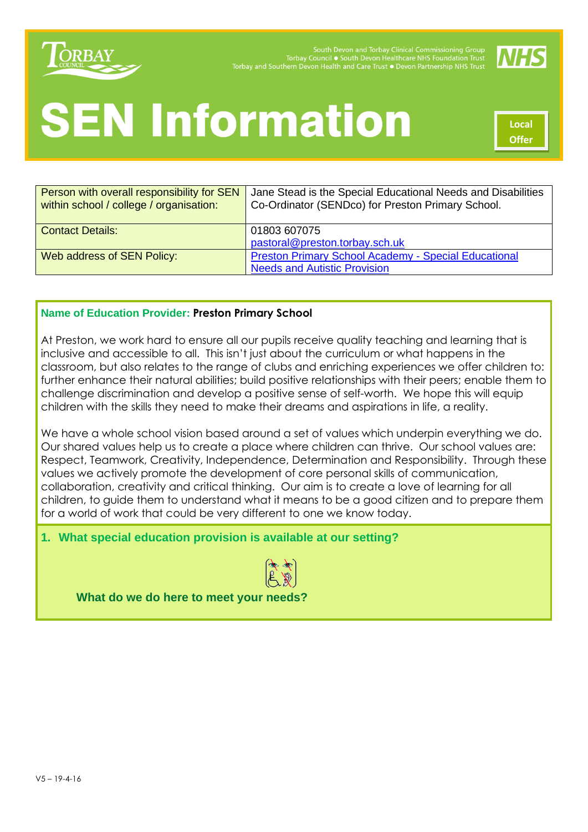

South Devon and Torbay Clinical Commissioning Group<br>Torbay Council • South Devon Healthcare NHS Foundation Trust Torbay and Southern Devon Health and Care Trust ● Devon Partnership NHS Trust



# **SEN Information**



| Person with overall responsibility for SEN<br>within school / college / organisation: | Jane Stead is the Special Educational Needs and Disabilities<br>Co-Ordinator (SENDco) for Preston Primary School. |
|---------------------------------------------------------------------------------------|-------------------------------------------------------------------------------------------------------------------|
| <b>Contact Details:</b>                                                               | 01803 607075                                                                                                      |
|                                                                                       | pastoral@preston.torbay.sch.uk                                                                                    |
| Web address of SEN Policy:                                                            | <b>Preston Primary School Academy - Special Educational</b>                                                       |
|                                                                                       | <b>Needs and Autistic Provision</b>                                                                               |

#### **Name of Education Provider: Preston Primary School**

At Preston, we work hard to ensure all our pupils receive quality teaching and learning that is inclusive and accessible to all. This isn't just about the curriculum or what happens in the classroom, but also relates to the range of clubs and enriching experiences we offer children to: further enhance their natural abilities; build positive relationships with their peers; enable them to challenge discrimination and develop a positive sense of self-worth. We hope this will equip children with the skills they need to make their dreams and aspirations in life, a reality.

We have a whole school vision based around a set of values which underpin everything we do. Our shared values help us to create a place where children can thrive. Our school values are: Respect, Teamwork, Creativity, Independence, Determination and Responsibility. Through these values we actively promote the development of core personal skills of communication, collaboration, creativity and critical thinking. Our aim is to create a love of learning for all children, to guide them to understand what it means to be a good citizen and to prepare them for a world of work that could be very different to one we know today.

#### **1. What special education provision is available at our setting?**



**What do we do here to meet your needs?**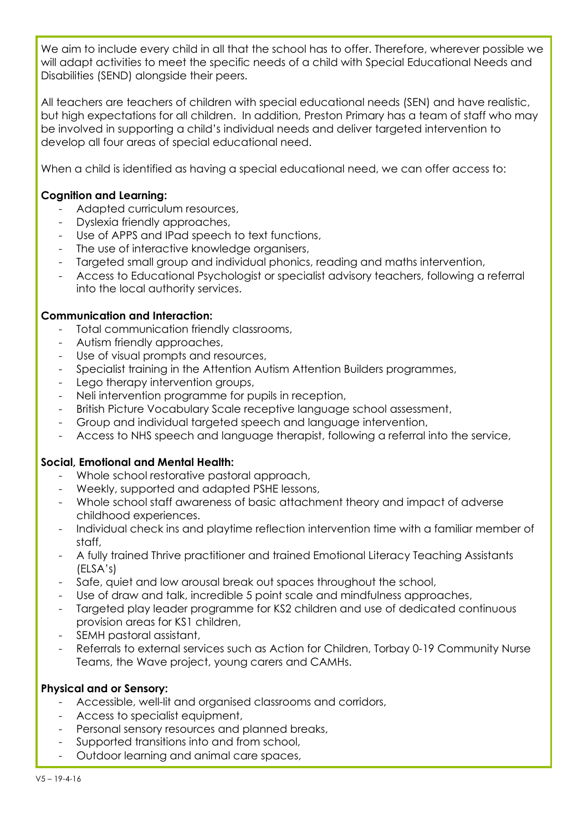We aim to include every child in all that the school has to offer. Therefore, wherever possible we will adapt activities to meet the specific needs of a child with Special Educational Needs and Disabilities (SEND) alongside their peers.

All teachers are teachers of children with special educational needs (SEN) and have realistic, but high expectations for all children. In addition, Preston Primary has a team of staff who may be involved in supporting a child's individual needs and deliver targeted intervention to develop all four areas of special educational need.

When a child is identified as having a special educational need, we can offer access to:

#### **Cognition and Learning:**

- Adapted curriculum resources,
- Dyslexia friendly approaches,
- Use of APPS and IPad speech to text functions,
- The use of interactive knowledge organisers,
- Targeted small group and individual phonics, reading and maths intervention,
- Access to Educational Psychologist or specialist advisory teachers, following a referral into the local authority services.

#### **Communication and Interaction:**

- Total communication friendly classrooms,
- Autism friendly approaches,
- Use of visual prompts and resources,
- Specialist training in the Attention Autism Attention Builders programmes,
- Lego therapy intervention groups,
- Neli intervention programme for pupils in reception,
- British Picture Vocabulary Scale receptive language school assessment,
- Group and individual targeted speech and language intervention,
- Access to NHS speech and language therapist, following a referral into the service,

#### **Social, Emotional and Mental Health:**

- Whole school restorative pastoral approach,
- Weekly, supported and adapted PSHE lessons,
- Whole school staff awareness of basic attachment theory and impact of adverse childhood experiences.
- Individual check ins and playtime reflection intervention time with a familiar member of staff,
- A fully trained Thrive practitioner and trained Emotional Literacy Teaching Assistants (ELSA's)
- Safe, quiet and low arousal break out spaces throughout the school,
- Use of draw and talk, incredible 5 point scale and mindfulness approaches,
- Targeted play leader programme for KS2 children and use of dedicated continuous provision areas for KS1 children,
- SEMH pastoral assistant,
- Referrals to external services such as Action for Children, Torbay 0-19 Community Nurse Teams, the Wave project, young carers and CAMHs.

#### **Physical and or Sensory:**

- Accessible, well-lit and organised classrooms and corridors,
- Access to specialist equipment,
- Personal sensory resources and planned breaks,
- Supported transitions into and from school,
- Outdoor learning and animal care spaces,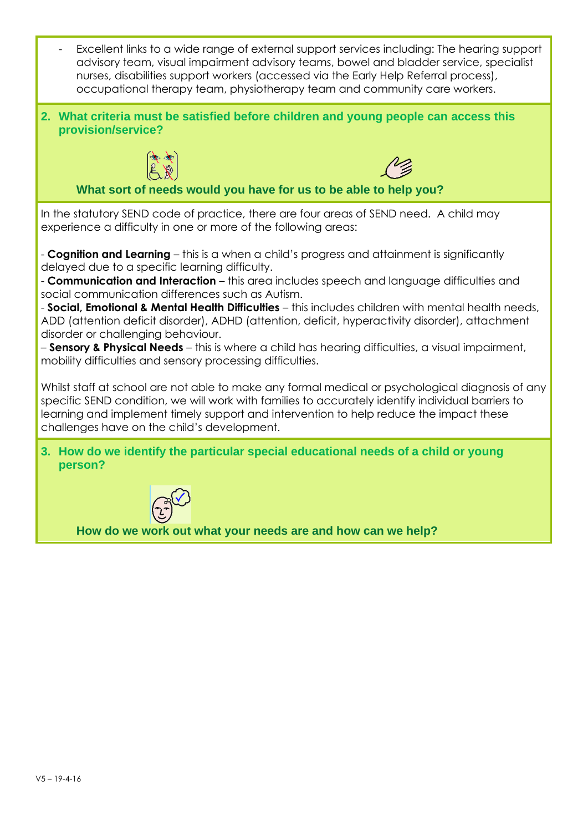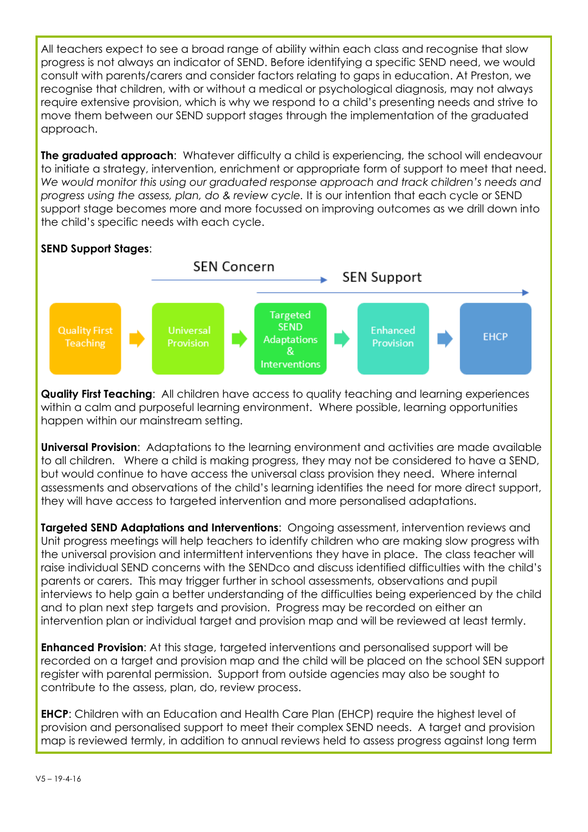All teachers expect to see a broad range of ability within each class and recognise that slow progress is not always an indicator of SEND. Before identifying a specific SEND need, we would consult with parents/carers and consider factors relating to gaps in education. At Preston, we recognise that children, with or without a medical or psychological diagnosis, may not always require extensive provision, which is why we respond to a child's presenting needs and strive to move them between our SEND support stages through the implementation of the graduated approach.

**The graduated approach:** Whatever difficulty a child is experiencing, the school will endeavour to initiate a strategy, intervention, enrichment or appropriate form of support to meet that need. *We would monitor this using our graduated response approach and track children's needs and progress using the assess, plan, do & review cycle.* It is our intention that each cycle or SEND support stage becomes more and more focussed on improving outcomes as we drill down into the child's specific needs with each cycle.

# **SEND Support Stages**:



**Quality First Teaching:** All children have access to quality teaching and learning experiences within a calm and purposeful learning environment. Where possible, learning opportunities happen within our mainstream setting.

**Universal Provision**: Adaptations to the learning environment and activities are made available to all children. Where a child is making progress, they may not be considered to have a SEND, but would continue to have access the universal class provision they need. Where internal assessments and observations of the child's learning identifies the need for more direct support, they will have access to targeted intervention and more personalised adaptations.

**Targeted SEND Adaptations and Interventions**: Ongoing assessment, intervention reviews and Unit progress meetings will help teachers to identify children who are making slow progress with the universal provision and intermittent interventions they have in place. The class teacher will raise individual SEND concerns with the SENDco and discuss identified difficulties with the child's parents or carers. This may trigger further in school assessments, observations and pupil interviews to help gain a better understanding of the difficulties being experienced by the child and to plan next step targets and provision. Progress may be recorded on either an intervention plan or individual target and provision map and will be reviewed at least termly.

**Enhanced Provision:** At this stage, targeted interventions and personalised support will be recorded on a target and provision map and the child will be placed on the school SEN support register with parental permission. Support from outside agencies may also be sought to contribute to the assess, plan, do, review process.

**EHCP**: Children with an Education and Health Care Plan (EHCP) require the highest level of provision and personalised support to meet their complex SEND needs. A target and provision map is reviewed termly, in addition to annual reviews held to assess progress against long term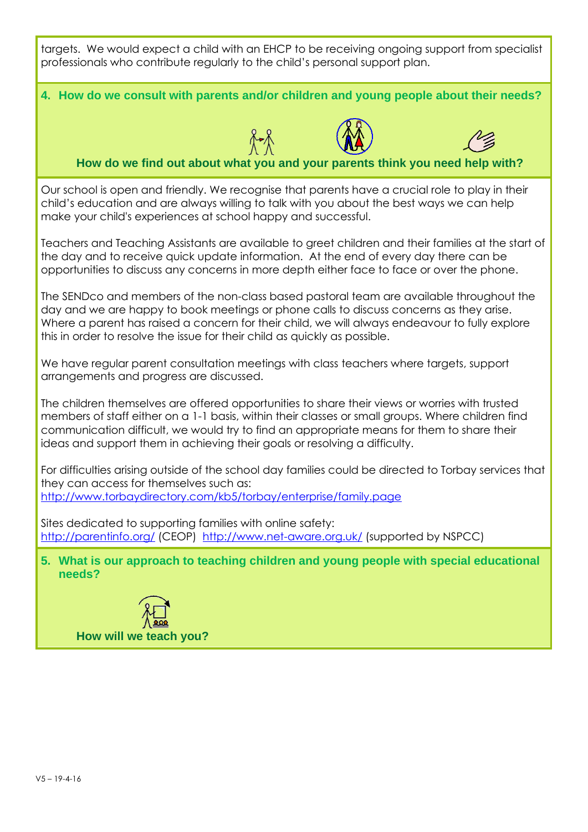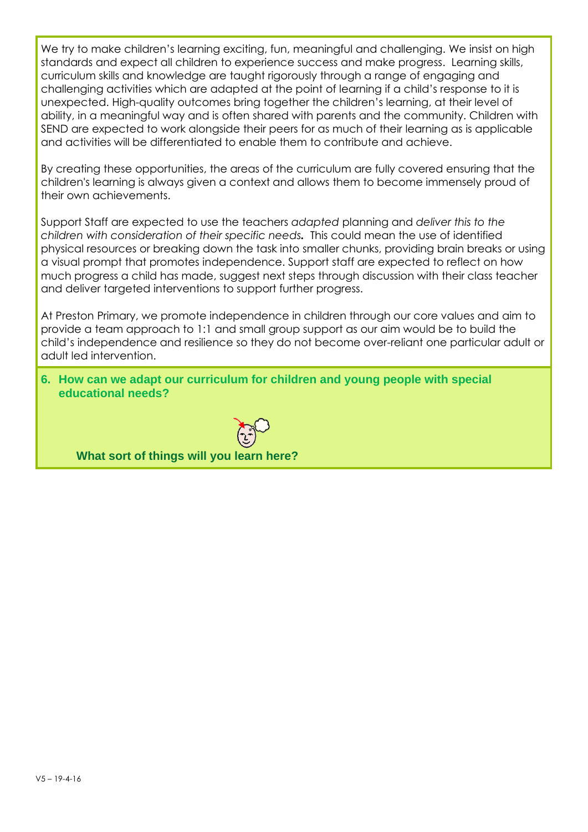We try to make children's learning exciting, fun, meaningful and challenging. We insist on high standards and expect all children to experience success and make progress. Learning skills, curriculum skills and knowledge are taught rigorously through a range of engaging and challenging activities which are adapted at the point of learning if a child's response to it is unexpected. High-quality outcomes bring together the children's learning, at their level of ability, in a meaningful way and is often shared with parents and the community. Children with SEND are expected to work alongside their peers for as much of their learning as is applicable and activities will be differentiated to enable them to contribute and achieve.

By creating these opportunities, the areas of the curriculum are fully covered ensuring that the children's learning is always given a context and allows them to become immensely proud of their own achievements.

Support Staff are expected to use the teachers *adapted* planning and *deliver this to the children with consideration of their specific needs.* This could mean the use of identified physical resources or breaking down the task into smaller chunks, providing brain breaks or using a visual prompt that promotes independence. Support staff are expected to reflect on how much progress a child has made, suggest next steps through discussion with their class teacher and deliver targeted interventions to support further progress.

At Preston Primary, we promote independence in children through our core values and aim to provide a team approach to 1:1 and small group support as our aim would be to build the child's independence and resilience so they do not become over-reliant one particular adult or adult led intervention.

**6. How can we adapt our curriculum for children and young people with special educational needs?**

**What sort of things will you learn here?**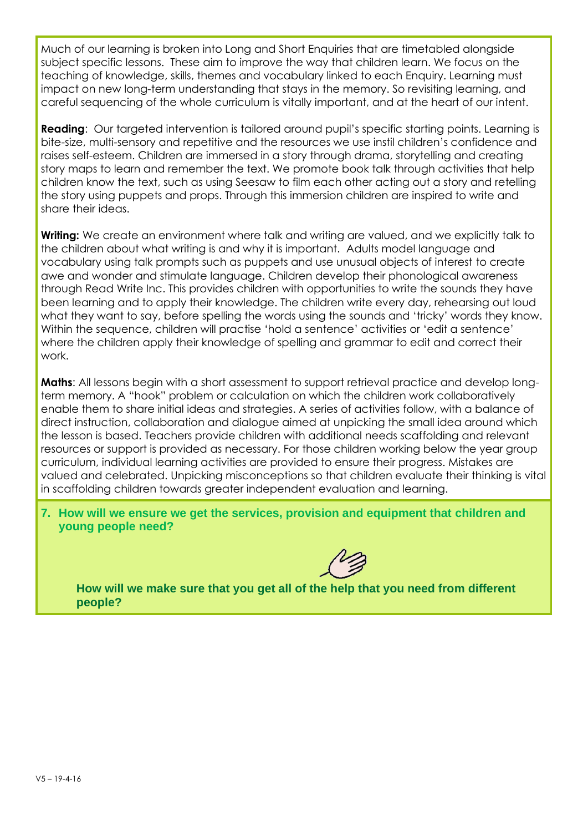Much of our learning is broken into Long and Short Enquiries that are timetabled alongside subject specific lessons. These aim to improve the way that children learn. We focus on the teaching of knowledge, skills, themes and vocabulary linked to each Enquiry. Learning must impact on new long-term understanding that stays in the memory. So revisiting learning, and careful sequencing of the whole curriculum is vitally important, and at the heart of our intent.

**Reading**: Our targeted intervention is tailored around pupil's specific starting points. Learning is bite-size, multi-sensory and repetitive and the resources we use instil children's confidence and raises self-esteem. Children are immersed in a story through drama, storytelling and creating story maps to learn and remember the text. We promote book talk through activities that help children know the text, such as using Seesaw to film each other acting out a story and retelling the story using puppets and props. Through this immersion children are inspired to write and share their ideas.

**Writing:** We create an environment where talk and writing are valued, and we explicitly talk to the children about what writing is and why it is important. Adults model language and vocabulary using talk prompts such as puppets and use unusual objects of interest to create awe and wonder and stimulate language. Children develop their phonological awareness through Read Write Inc. This provides children with opportunities to write the sounds they have been learning and to apply their knowledge. The children write every day, rehearsing out loud what they want to say, before spelling the words using the sounds and 'tricky' words they know. Within the sequence, children will practise 'hold a sentence' activities or 'edit a sentence' where the children apply their knowledge of spelling and grammar to edit and correct their work.

**Maths**: All lessons begin with a short assessment to support retrieval practice and develop longterm memory. A "hook" problem or calculation on which the children work collaboratively enable them to share initial ideas and strategies. A series of activities follow, with a balance of direct instruction, collaboration and dialogue aimed at unpicking the small idea around which the lesson is based. Teachers provide children with additional needs scaffolding and relevant resources or support is provided as necessary. For those children working below the year group curriculum, individual learning activities are provided to ensure their progress. Mistakes are valued and celebrated. Unpicking misconceptions so that children evaluate their thinking is vital in scaffolding children towards greater independent evaluation and learning.

**7. How will we ensure we get the services, provision and equipment that children and young people need?**

**How will we make sure that you get all of the help that you need from different people?**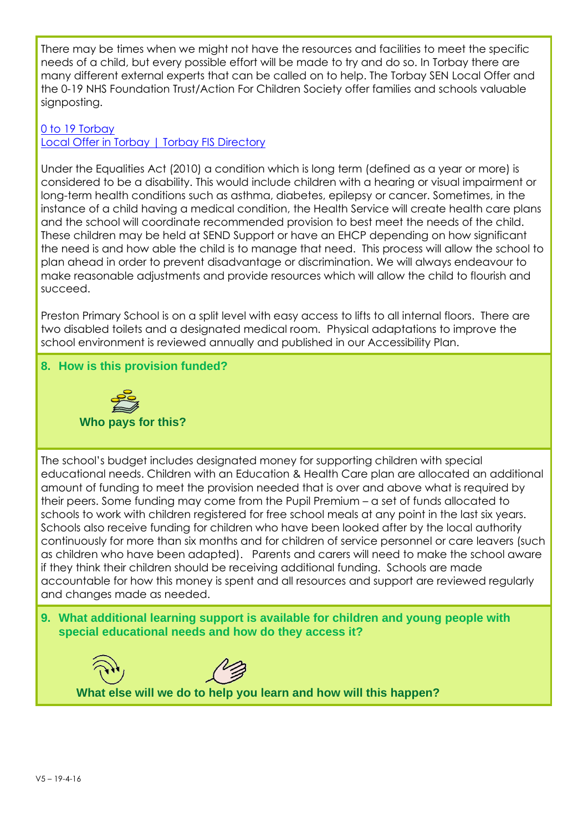There may be times when we might not have the resources and facilities to meet the specific needs of a child, but every possible effort will be made to try and do so. In Torbay there are many different external experts that can be called on to help. The Torbay SEN Local Offer and the 0-19 NHS Foundation Trust/Action For Children Society offer families and schools valuable signposting.

### [0 to 19 Torbay](https://0to19torbay.co.uk/)

[Local Offer in Torbay](http://fis.torbay.gov.uk/kb5/torbay/fsd/localoffer.page?localofferchannel=0) | Torbay FIS Directory

Under the Equalities Act (2010) a condition which is long term (defined as a year or more) is considered to be a disability. This would include children with a hearing or visual impairment or long-term health conditions such as asthma, diabetes, epilepsy or cancer. Sometimes, in the instance of a child having a medical condition, the Health Service will create health care plans and the school will coordinate recommended provision to best meet the needs of the child. These children may be held at SEND Support or have an EHCP depending on how significant the need is and how able the child is to manage that need. This process will allow the school to plan ahead in order to prevent disadvantage or discrimination. We will always endeavour to make reasonable adjustments and provide resources which will allow the child to flourish and succeed.

Preston Primary School is on a split level with easy access to lifts to all internal floors. There are two disabled toilets and a designated medical room. Physical adaptations to improve the school environment is reviewed annually and published in our Accessibility Plan.

## **8. How is this provision funded?**



The school's budget includes designated money for supporting children with special educational needs. Children with an Education & Health Care plan are allocated an additional amount of funding to meet the provision needed that is over and above what is required by their peers. Some funding may come from the Pupil Premium – a set of funds allocated to schools to work with children registered for free school meals at any point in the last six years. Schools also receive funding for children who have been looked after by the local authority continuously for more than six months and for children of service personnel or care leavers (such as children who have been adapted). Parents and carers will need to make the school aware if they think their children should be receiving additional funding. Schools are made accountable for how this money is spent and all resources and support are reviewed regularly and changes made as needed.

**9. What additional learning support is available for children and young people with special educational needs and how do they access it?**



**What else will we do to help you learn and how will this happen?**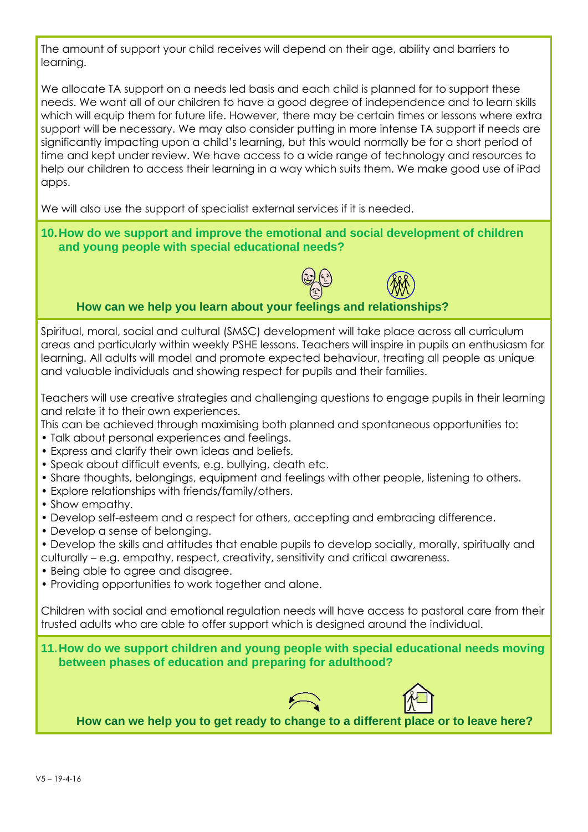The amount of support your child receives will depend on their age, ability and barriers to learning.

We allocate TA support on a needs led basis and each child is planned for to support these needs. We want all of our children to have a good degree of independence and to learn skills which will equip them for future life. However, there may be certain times or lessons where extra support will be necessary. We may also consider putting in more intense TA support if needs are significantly impacting upon a child's learning, but this would normally be for a short period of time and kept under review. We have access to a wide range of technology and resources to help our children to access their learning in a way which suits them. We make good use of iPad apps.

We will also use the support of specialist external services if it is needed.

#### **10.How do we support and improve the emotional and social development of children and young people with special educational needs?**



## **How can we help you learn about your feelings and relationships?**

Spiritual, moral, social and cultural (SMSC) development will take place across all curriculum areas and particularly within weekly PSHE lessons. Teachers will inspire in pupils an enthusiasm for learning. All adults will model and promote expected behaviour, treating all people as unique and valuable individuals and showing respect for pupils and their families.

Teachers will use creative strategies and challenging questions to engage pupils in their learning and relate it to their own experiences.

This can be achieved through maximising both planned and spontaneous opportunities to:

- Talk about personal experiences and feelings.
- Express and clarify their own ideas and beliefs.
- Speak about difficult events, e.g. bullying, death etc.
- Share thoughts, belongings, equipment and feelings with other people, listening to others.
- Explore relationships with friends/family/others.
- Show empathy.
- Develop self-esteem and a respect for others, accepting and embracing difference.
- Develop a sense of belonging.
- Develop the skills and attitudes that enable pupils to develop socially, morally, spiritually and culturally – e.g. empathy, respect, creativity, sensitivity and critical awareness.
- Being able to agree and disagree.
- Providing opportunities to work together and alone.

Children with social and emotional regulation needs will have access to pastoral care from their trusted adults who are able to offer support which is designed around the individual.

**11.How do we support children and young people with special educational needs moving between phases of education and preparing for adulthood?**





**How can we help you to get ready to change to a different place or to leave here?**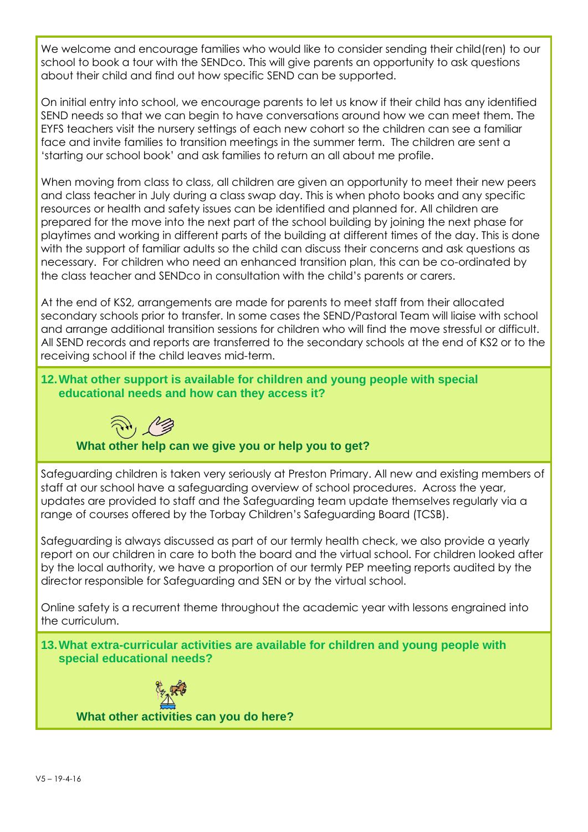We welcome and encourage families who would like to consider sending their child(ren) to our school to book a tour with the SENDco. This will give parents an opportunity to ask questions about their child and find out how specific SEND can be supported.

On initial entry into school, we encourage parents to let us know if their child has any identified SEND needs so that we can begin to have conversations around how we can meet them. The EYFS teachers visit the nursery settings of each new cohort so the children can see a familiar face and invite families to transition meetings in the summer term. The children are sent a 'starting our school book' and ask families to return an all about me profile.

When moving from class to class, all children are given an opportunity to meet their new peers and class teacher in July during a class swap day. This is when photo books and any specific resources or health and safety issues can be identified and planned for. All children are prepared for the move into the next part of the school building by joining the next phase for playtimes and working in different parts of the building at different times of the day. This is done with the support of familiar adults so the child can discuss their concerns and ask questions as necessary. For children who need an enhanced transition plan, this can be co-ordinated by the class teacher and SENDco in consultation with the child's parents or carers.

At the end of KS2, arrangements are made for parents to meet staff from their allocated secondary schools prior to transfer. In some cases the SEND/Pastoral Team will liaise with school and arrange additional transition sessions for children who will find the move stressful or difficult. All SEND records and reports are transferred to the secondary schools at the end of KS2 or to the receiving school if the child leaves mid-term.

**12.What other support is available for children and young people with special educational needs and how can they access it?**

# **What other help can we give you or help you to get?**

Safeguarding children is taken very seriously at Preston Primary. All new and existing members of staff at our school have a safeguarding overview of school procedures. Across the year, updates are provided to staff and the Safeguarding team update themselves regularly via a range of courses offered by the Torbay Children's Safeguarding Board (TCSB).

Safeguarding is always discussed as part of our termly health check, we also provide a yearly report on our children in care to both the board and the virtual school. For children looked after by the local authority, we have a proportion of our termly PEP meeting reports audited by the director responsible for Safeguarding and SEN or by the virtual school.

Online safety is a recurrent theme throughout the academic year with lessons engrained into the curriculum.

**13.What extra-curricular activities are available for children and young people with special educational needs?**



**What other activities can you do here?**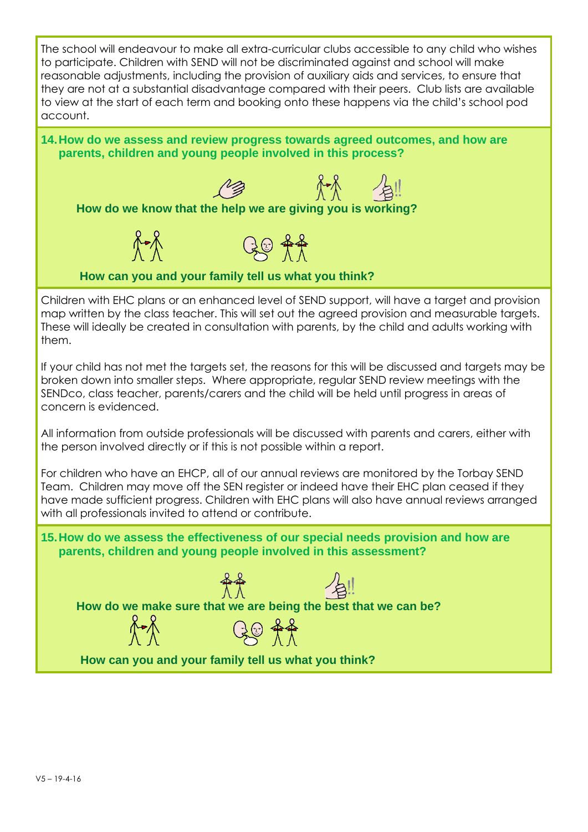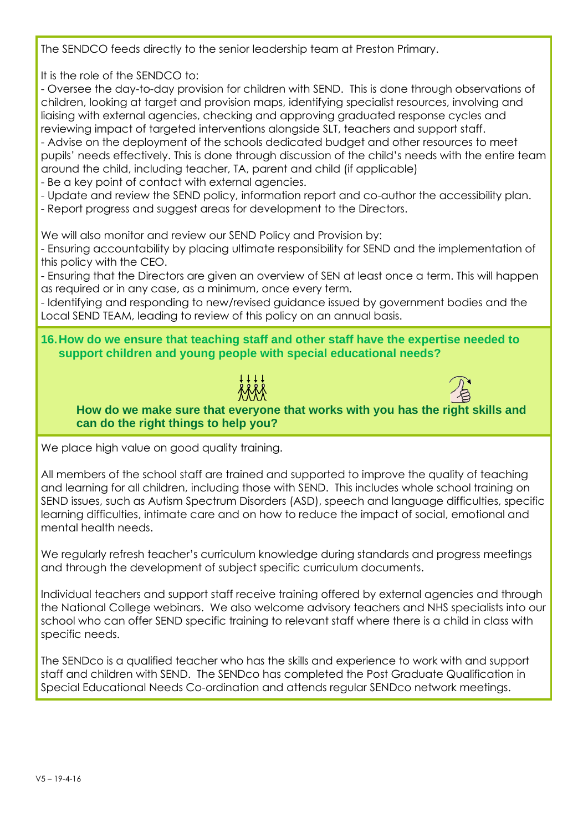The SENDCO feeds directly to the senior leadership team at Preston Primary.

It is the role of the SENDCO to:

- Oversee the day-to-day provision for children with SEND. This is done through observations of children, looking at target and provision maps, identifying specialist resources, involving and liaising with external agencies, checking and approving graduated response cycles and reviewing impact of targeted interventions alongside SLT, teachers and support staff.

- Advise on the deployment of the schools dedicated budget and other resources to meet pupils' needs effectively. This is done through discussion of the child's needs with the entire team around the child, including teacher, TA, parent and child (if applicable)

- Be a key point of contact with external agencies.
- Update and review the SEND policy, information report and co-author the accessibility plan.
- Report progress and suggest areas for development to the Directors.

We will also monitor and review our SEND Policy and Provision by:

- Ensuring accountability by placing ultimate responsibility for SEND and the implementation of this policy with the CEO.

- Ensuring that the Directors are given an overview of SEN at least once a term. This will happen as required or in any case, as a minimum, once every term.

- Identifying and responding to new/revised guidance issued by government bodies and the Local SEND TEAM, leading to review of this policy on an annual basis.

**16.How do we ensure that teaching staff and other staff have the expertise needed to support children and young people with special educational needs?**





**How do we make sure that everyone that works with you has the right skills and can do the right things to help you?**

We place high value on good quality training.

All members of the school staff are trained and supported to improve the quality of teaching and learning for all children, including those with SEND. This includes whole school training on SEND issues, such as Autism Spectrum Disorders (ASD), speech and language difficulties, specific learning difficulties, intimate care and on how to reduce the impact of social, emotional and mental health needs.

We regularly refresh teacher's curriculum knowledge during standards and progress meetings and through the development of subject specific curriculum documents.

Individual teachers and support staff receive training offered by external agencies and through the National College webinars. We also welcome advisory teachers and NHS specialists into our school who can offer SEND specific training to relevant staff where there is a child in class with specific needs.

The SENDco is a qualified teacher who has the skills and experience to work with and support staff and children with SEND. The SENDco has completed the Post Graduate Qualification in Special Educational Needs Co-ordination and attends regular SENDco network meetings.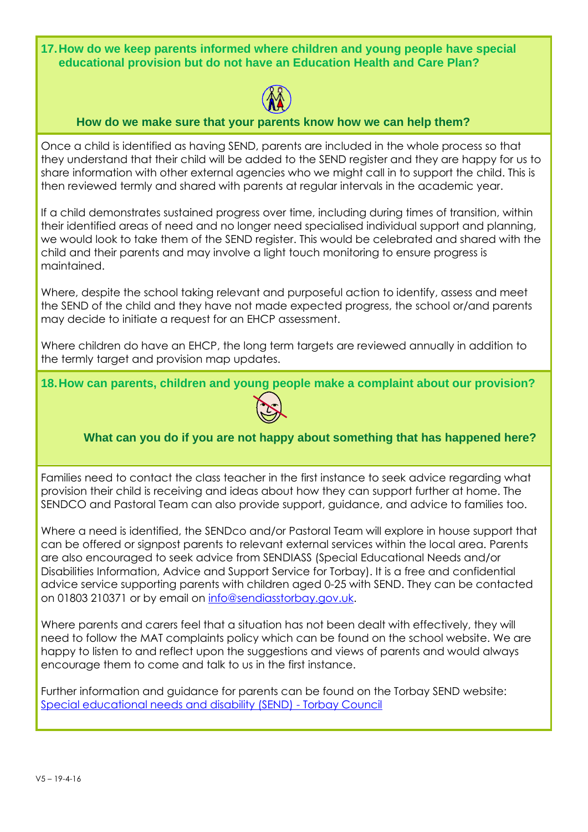**17.How do we keep parents informed where children and young people have special educational provision but do not have an Education Health and Care Plan?**



#### **How do we make sure that your parents know how we can help them?**

Once a child is identified as having SEND, parents are included in the whole process so that they understand that their child will be added to the SEND register and they are happy for us to share information with other external agencies who we might call in to support the child. This is then reviewed termly and shared with parents at regular intervals in the academic year.

If a child demonstrates sustained progress over time, including during times of transition, within their identified areas of need and no longer need specialised individual support and planning, we would look to take them of the SEND register. This would be celebrated and shared with the child and their parents and may involve a light touch monitoring to ensure progress is maintained.

Where, despite the school taking relevant and purposeful action to identify, assess and meet the SEND of the child and they have not made expected progress, the school or/and parents may decide to initiate a request for an EHCP assessment.

Where children do have an EHCP, the long term targets are reviewed annually in addition to the termly target and provision map updates.

**18.How can parents, children and young people make a complaint about our provision?**



# **What can you do if you are not happy about something that has happened here?**

Families need to contact the class teacher in the first instance to seek advice regarding what provision their child is receiving and ideas about how they can support further at home. The SENDCO and Pastoral Team can also provide support, guidance, and advice to families too.

Where a need is identified, the SENDco and/or Pastoral Team will explore in house support that can be offered or signpost parents to relevant external services within the local area. Parents are also encouraged to seek advice from SENDIASS (Special Educational Needs and/or Disabilities Information, Advice and Support Service for Torbay). It is a free and confidential advice service supporting parents with children aged 0-25 with SEND. They can be contacted on 01803 210371 or by email on [info@sendiasstorbay.gov.uk.](mailto:info@sendiasstorbay.gov.uk)

Where parents and carers feel that a situation has not been dealt with effectively, they will need to follow the MAT complaints policy which can be found on the school website. We are happy to listen to and reflect upon the suggestions and views of parents and would always encourage them to come and talk to us in the first instance.

Further information and guidance for parents can be found on the Torbay SEND website: [Special educational needs and disability \(SEND\) -](https://www.torbay.gov.uk/schools-and-learning/send/) Torbay Council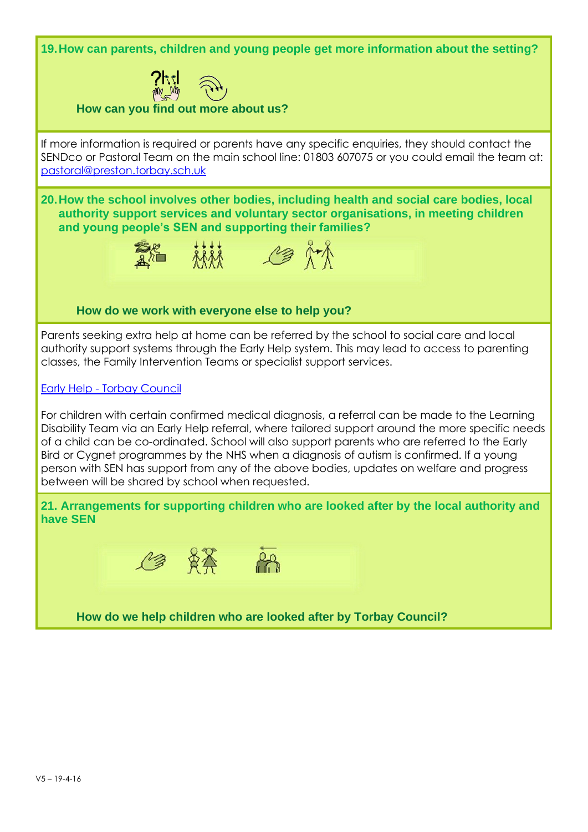